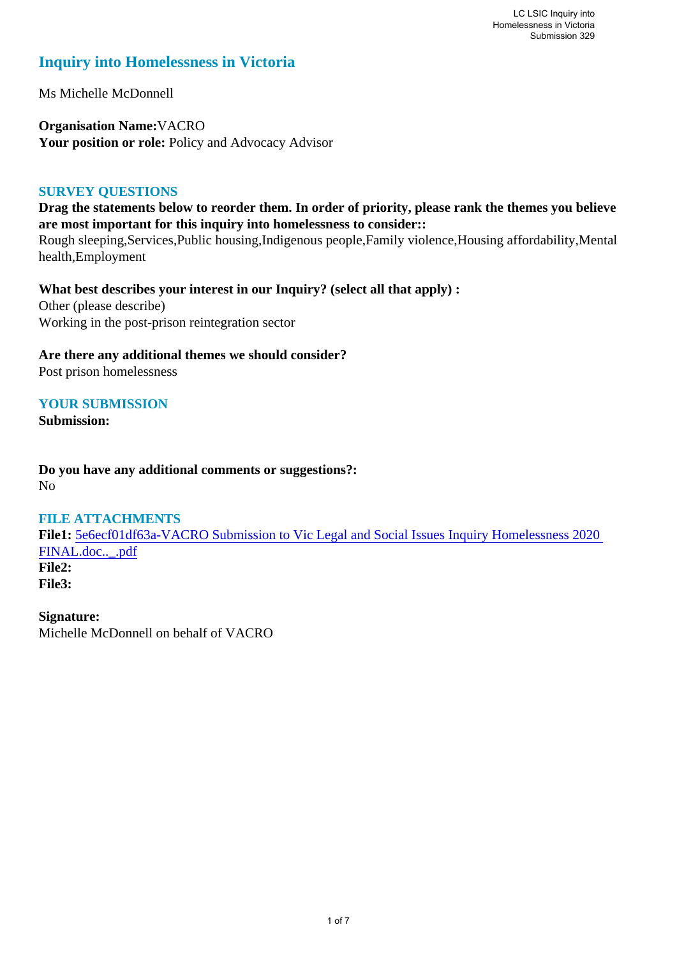# **Inquiry into Homelessness in Victoria**

Ms Michelle McDonnell

**Organisation Name:**VACRO Your position or role: Policy and Advocacy Advisor

## **SURVEY QUESTIONS**

**Drag the statements below to reorder them. In order of priority, please rank the themes you believe are most important for this inquiry into homelessness to consider::** 

Rough sleeping,Services,Public housing,Indigenous people,Family violence,Housing affordability,Mental health,Employment

**What best describes your interest in our Inquiry? (select all that apply) :** 

Other (please describe) Working in the post-prison reintegration sector

## **Are there any additional themes we should consider?**

Post prison homelessness

## **YOUR SUBMISSION**

**Submission:** 

**Do you have any additional comments or suggestions?:**  No

## **FILE ATTACHMENTS**

**File1:** 5e6ecf01df63a-VACRO Submission to Vic Legal and Social Issues Inquiry Homelessness 2020 FINAL.doc..\_.pdf **File2: File3:** 

**Signature:** Michelle McDonnell on behalf of VACRO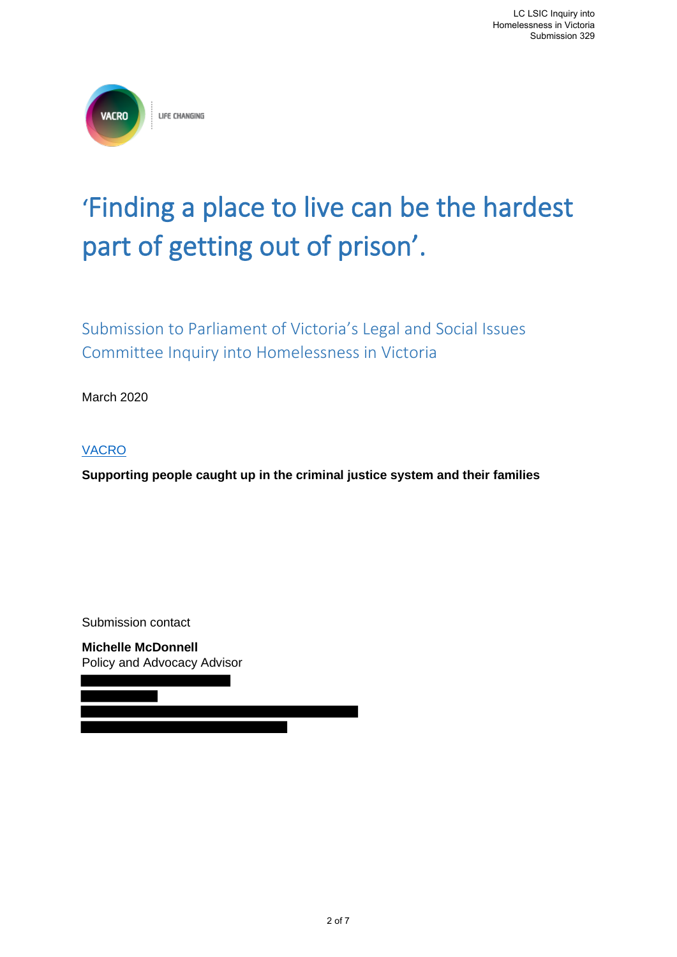

# 'Finding a place to live can be the hardest part of getting out of prison'.

Submission to Parliament of Victoria's Legal and Social Issues Committee Inquiry into Homelessness in Victoria

March 2020

VACRO

**Supporting people caught up in the criminal justice system and their families** 

Submission contact

**Michelle McDonnell** Policy and Advocacy Advisor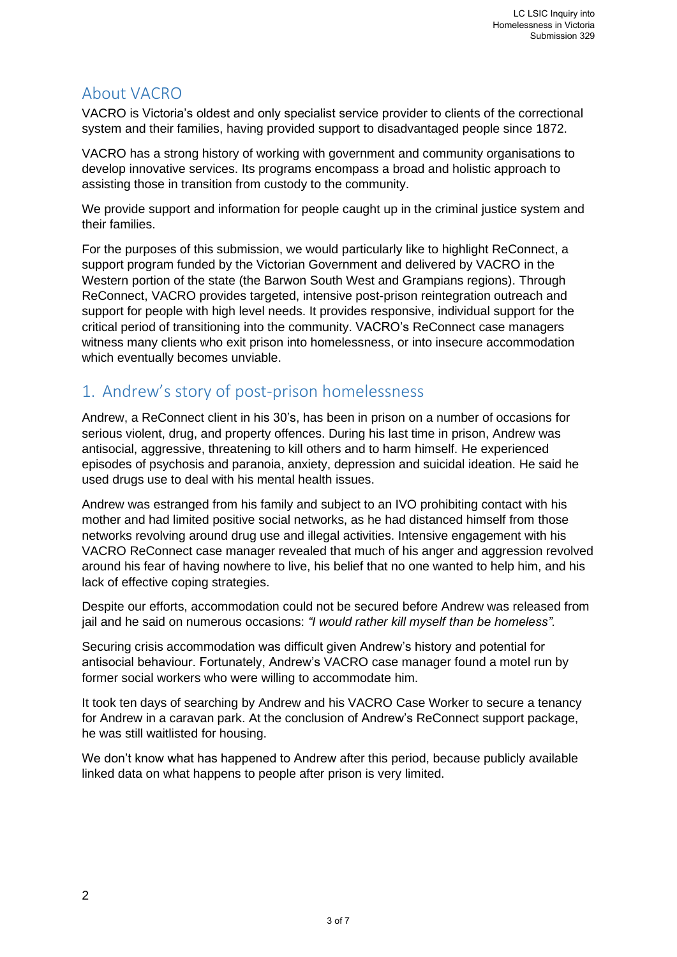# About VACRO

VACRO is Victoria's oldest and only specialist service provider to clients of the correctional system and their families, having provided support to disadvantaged people since 1872.

VACRO has a strong history of working with government and community organisations to develop innovative services. Its programs encompass a broad and holistic approach to assisting those in transition from custody to the community.

We provide support and information for people caught up in the criminal justice system and their families.

For the purposes of this submission, we would particularly like to highlight ReConnect, a support program funded by the Victorian Government and delivered by VACRO in the Western portion of the state (the Barwon South West and Grampians regions). Through ReConnect, VACRO provides targeted, intensive post-prison reintegration outreach and support for people with high level needs. It provides responsive, individual support for the critical period of transitioning into the community. VACRO's ReConnect case managers witness many clients who exit prison into homelessness, or into insecure accommodation which eventually becomes unviable.

# 1. Andrew's story of post-prison homelessness

Andrew, a ReConnect client in his 30's, has been in prison on a number of occasions for serious violent, drug, and property offences. During his last time in prison, Andrew was antisocial, aggressive, threatening to kill others and to harm himself. He experienced episodes of psychosis and paranoia, anxiety, depression and suicidal ideation. He said he used drugs use to deal with his mental health issues.

Andrew was estranged from his family and subject to an IVO prohibiting contact with his mother and had limited positive social networks, as he had distanced himself from those networks revolving around drug use and illegal activities. Intensive engagement with his VACRO ReConnect case manager revealed that much of his anger and aggression revolved around his fear of having nowhere to live, his belief that no one wanted to help him, and his lack of effective coping strategies.

Despite our efforts, accommodation could not be secured before Andrew was released from jail and he said on numerous occasions: *"I would rather kill myself than be homeless".*

Securing crisis accommodation was difficult given Andrew's history and potential for antisocial behaviour. Fortunately, Andrew's VACRO case manager found a motel run by former social workers who were willing to accommodate him.

It took ten days of searching by Andrew and his VACRO Case Worker to secure a tenancy for Andrew in a caravan park. At the conclusion of Andrew's ReConnect support package, he was still waitlisted for housing.

We don't know what has happened to Andrew after this period, because publicly available linked data on what happens to people after prison is very limited.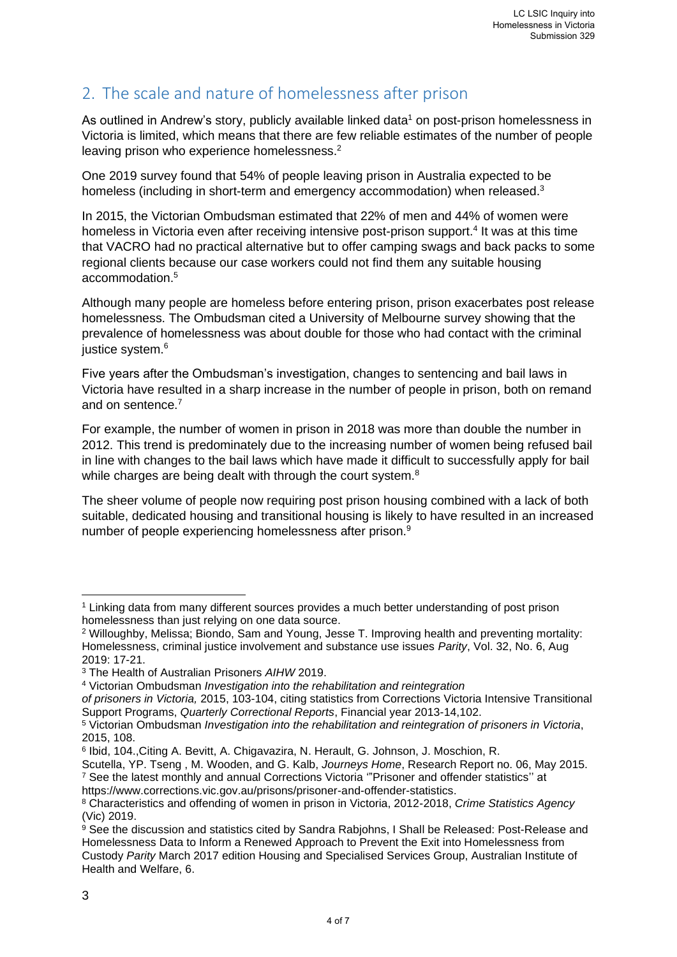# 2. The scale and nature of homelessness after prison

As outlined in Andrew's story, publicly available linked data<sup>1</sup> on post-prison homelessness in Victoria is limited, which means that there are few reliable estimates of the number of people leaving prison who experience homelessness.<sup>2</sup>

One 2019 survey found that 54% of people leaving prison in Australia expected to be homeless (including in short-term and emergency accommodation) when released.<sup>3</sup>

In 2015, the Victorian Ombudsman estimated that 22% of men and 44% of women were homeless in Victoria even after receiving intensive post-prison support.<sup>4</sup> It was at this time that VACRO had no practical alternative but to offer camping swags and back packs to some regional clients because our case workers could not find them any suitable housing accommodation.<sup>5</sup>

Although many people are homeless before entering prison, prison exacerbates post release homelessness. The Ombudsman cited a University of Melbourne survey showing that the prevalence of homelessness was about double for those who had contact with the criminal justice system.<sup>6</sup>

Five years after the Ombudsman's investigation, changes to sentencing and bail laws in Victoria have resulted in a sharp increase in the number of people in prison, both on remand and on sentence.<sup>7</sup>

For example, the number of women in prison in 2018 was more than double the number in 2012. This trend is predominately due to the increasing number of women being refused bail in line with changes to the bail laws which have made it difficult to successfully apply for bail while charges are being dealt with through the court system.<sup>8</sup>

The sheer volume of people now requiring post prison housing combined with a lack of both suitable, dedicated housing and transitional housing is likely to have resulted in an increased number of people experiencing homelessness after prison.<sup>9</sup>

<sup>1</sup> Linking data from many different sources provides a much better understanding of post prison homelessness than just relying on one data source.

<sup>2</sup> Willoughby, Melissa; Biondo, Sam and Young, Jesse T. Improving health and preventing mortality: Homelessness, criminal justice involvement and substance use issues *Parity*, Vol. 32, No. 6, Aug 2019: 17-21.

<sup>3</sup> The Health of Australian Prisoners *AIHW* 2019.

<sup>4</sup> Victorian Ombudsman *Investigation into the rehabilitation and reintegration*

*of prisoners in Victoria,* 2015, 103-104, citing statistics from Corrections Victoria Intensive Transitional Support Programs, *Quarterly Correctional Reports*, Financial year 2013-14,102.

<sup>5</sup> Victorian Ombudsman *Investigation into the rehabilitation and reintegration of prisoners in Victoria*, 2015, 108.

<sup>6</sup> Ibid, 104.,Citing A. Bevitt, A. Chigavazira, N. Herault, G. Johnson, J. Moschion, R.

Scutella, YP. Tseng , M. Wooden, and G. Kalb, *Journeys Home*, Research Report no. 06, May 2015. <sup>7</sup> See the latest monthly and annual Corrections Victoria '"Prisoner and offender statistics'' at https://www.corrections.vic.gov.au/prisons/prisoner-and-offender-statistics.

<sup>8</sup> Characteristics and offending of women in prison in Victoria, 2012-2018, *Crime Statistics Agency* (Vic) 2019.

 $9$  See the discussion and statistics cited by Sandra Rabiohns, I Shall be Released: Post-Release and Homelessness Data to Inform a Renewed Approach to Prevent the Exit into Homelessness from Custody *Parity* March 2017 edition Housing and Specialised Services Group, Australian Institute of Health and Welfare, 6.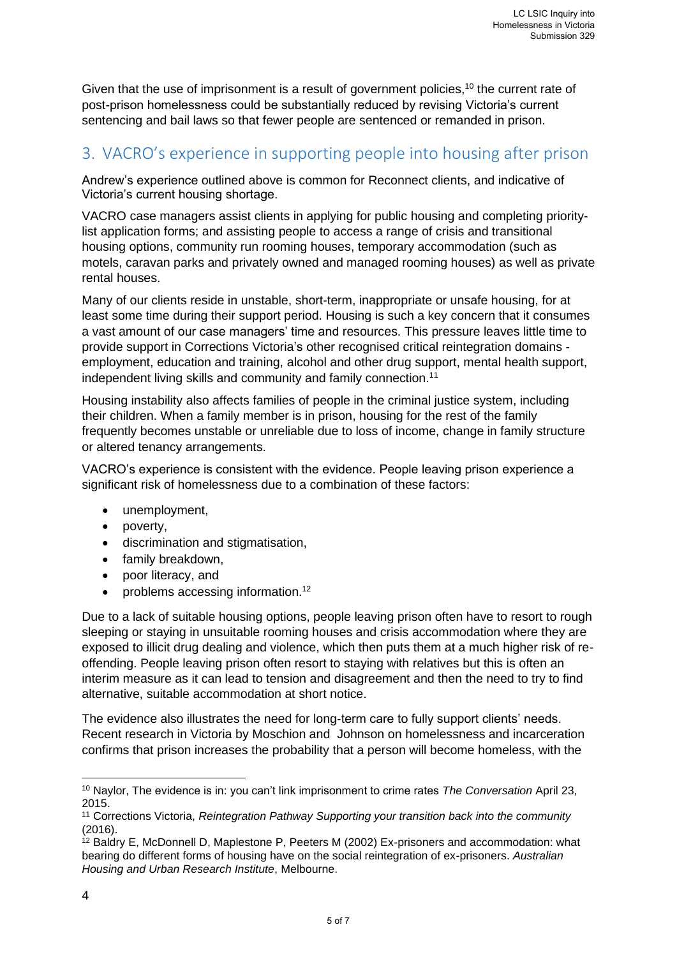Given that the use of imprisonment is a result of government policies,<sup>10</sup> the current rate of post-prison homelessness could be substantially reduced by revising Victoria's current sentencing and bail laws so that fewer people are sentenced or remanded in prison.

# 3. VACRO's experience in supporting people into housing after prison

Andrew's experience outlined above is common for Reconnect clients, and indicative of Victoria's current housing shortage.

VACRO case managers assist clients in applying for public housing and completing prioritylist application forms; and assisting people to access a range of crisis and transitional housing options, community run rooming houses, temporary accommodation (such as motels, caravan parks and privately owned and managed rooming houses) as well as private rental houses.

Many of our clients reside in unstable, short-term, inappropriate or unsafe housing, for at least some time during their support period. Housing is such a key concern that it consumes a vast amount of our case managers' time and resources. This pressure leaves little time to provide support in Corrections Victoria's other recognised critical reintegration domains employment, education and training, alcohol and other drug support, mental health support, independent living skills and community and family connection.<sup>11</sup>

Housing instability also affects families of people in the criminal justice system, including their children. When a family member is in prison, housing for the rest of the family frequently becomes unstable or unreliable due to loss of income, change in family structure or altered tenancy arrangements.

VACRO's experience is consistent with the evidence. People leaving prison experience a significant risk of homelessness due to a combination of these factors:

- unemployment,
- poverty,
- discrimination and stigmatisation,
- family breakdown.
- poor literacy, and
- problems accessing information.<sup>12</sup>

Due to a lack of suitable housing options, people leaving prison often have to resort to rough sleeping or staying in unsuitable rooming houses and crisis accommodation where they are exposed to illicit drug dealing and violence, which then puts them at a much higher risk of reoffending. People leaving prison often resort to staying with relatives but this is often an interim measure as it can lead to tension and disagreement and then the need to try to find alternative, suitable accommodation at short notice.

The evidence also illustrates the need for long-term care to fully support clients' needs. Recent research in Victoria by Moschion and Johnson on homelessness and incarceration confirms that prison increases the probability that a person will become homeless, with the

<sup>10</sup> Naylor, The evidence is in: you can't link imprisonment to crime rates *The Conversation* April 23, 2015.

<sup>11</sup> Corrections Victoria, *Reintegration Pathway Supporting your transition back into the community* (2016).

 $12$  Baldry E, McDonnell D, Maplestone P, Peeters M (2002) Ex-prisoners and accommodation: what bearing do different forms of housing have on the social reintegration of ex-prisoners. *Australian Housing and Urban Research Institute*, Melbourne.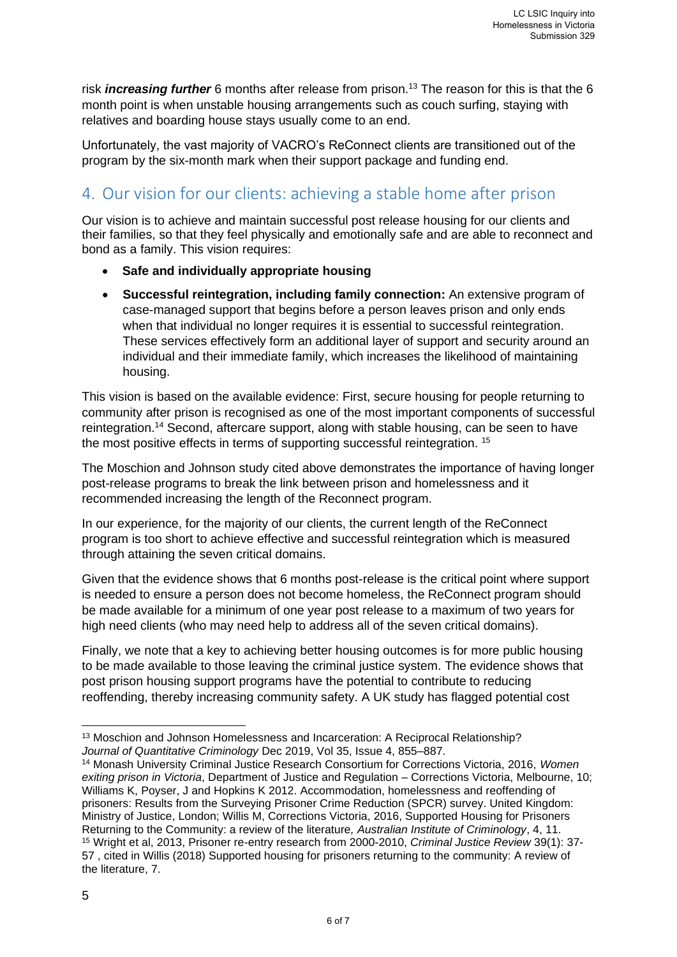risk *increasing further* 6 months after release from prison.<sup>13</sup> The reason for this is that the 6 month point is when unstable housing arrangements such as couch surfing, staying with relatives and boarding house stays usually come to an end.

Unfortunately, the vast majority of VACRO's ReConnect clients are transitioned out of the program by the six-month mark when their support package and funding end.

# 4. Our vision for our clients: achieving a stable home after prison

Our vision is to achieve and maintain successful post release housing for our clients and their families, so that they feel physically and emotionally safe and are able to reconnect and bond as a family. This vision requires:

- **Safe and individually appropriate housing**
- **Successful reintegration, including family connection:** An extensive program of case-managed support that begins before a person leaves prison and only ends when that individual no longer requires it is essential to successful reintegration. These services effectively form an additional layer of support and security around an individual and their immediate family, which increases the likelihood of maintaining housing.

This vision is based on the available evidence: First, secure housing for people returning to community after prison is recognised as one of the most important components of successful reintegration.<sup>14</sup> Second, aftercare support, along with stable housing, can be seen to have the most positive effects in terms of supporting successful reintegration. <sup>15</sup>

The Moschion and Johnson study cited above demonstrates the importance of having longer post-release programs to break the link between prison and homelessness and it recommended increasing the length of the Reconnect program.

In our experience, for the majority of our clients, the current length of the ReConnect program is too short to achieve effective and successful reintegration which is measured through attaining the seven critical domains.

Given that the evidence shows that 6 months post-release is the critical point where support is needed to ensure a person does not become homeless, the ReConnect program should be made available for a minimum of one year post release to a maximum of two years for high need clients (who may need help to address all of the seven critical domains).

Finally, we note that a key to achieving better housing outcomes is for more public housing to be made available to those leaving the criminal justice system. The evidence shows that post prison housing support programs have the potential to contribute to reducing reoffending, thereby increasing community safety. A UK study has flagged potential cost

<sup>13</sup> Moschion and Johnson Homelessness and Incarceration: A Reciprocal Relationship? *Journal of Quantitative Criminology* Dec 2019, Vol 35, Issue 4, 855–887.

<sup>14</sup> Monash University Criminal Justice Research Consortium for Corrections Victoria, 2016, *Women exiting prison in Victoria*, Department of Justice and Regulation – Corrections Victoria, Melbourne, 10; Williams K, Poyser, J and Hopkins K 2012. Accommodation, homelessness and reoffending of prisoners: Results from the Surveying Prisoner Crime Reduction (SPCR) survey. United Kingdom: Ministry of Justice, London; Willis M, Corrections Victoria, 2016, Supported Housing for Prisoners Returning to the Community: a review of the literature*, Australian Institute of Criminology*, 4, 11. <sup>15</sup> Wright et al, 2013, Prisoner re-entry research from 2000-2010, *Criminal Justice Review* 39(1): 37- 57 , cited in Willis (2018) Supported housing for prisoners returning to the community: A review of the literature, 7.